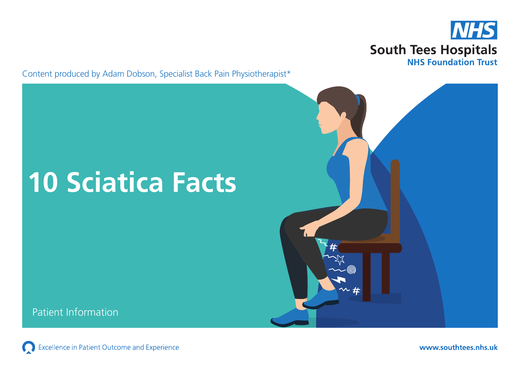

Content produced by Adam Dobson, Specialist Back Pain Physiotherapist\*

# **10 Sciatica Facts**

Patient Information

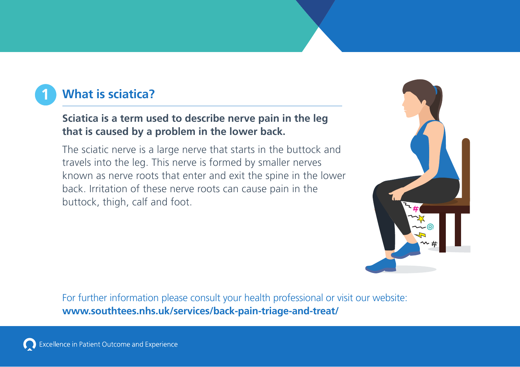

# **1 What is sciatica?**

#### **Sciatica is a term used to describe nerve pain in the leg that is caused by a problem in the lower back.**

The sciatic nerve is a large nerve that starts in the buttock and travels into the leg. This nerve is formed by smaller nerves known as nerve roots that enter and exit the spine in the lower back. Irritation of these nerve roots can cause pain in the buttock, thigh, calf and foot.

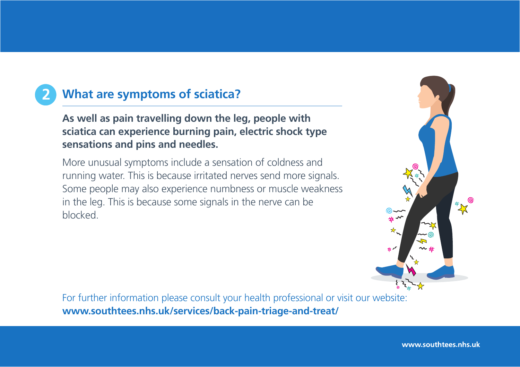# **2 What are symptoms of sciatica?**

**As well as pain travelling down the leg, people with sciatica can experience burning pain, electric shock type sensations and pins and needles.**

More unusual symptoms include a sensation of coldness and running water. This is because irritated nerves send more signals. Some people may also experience numbness or muscle weakness in the leg. This is because some signals in the nerve can be blocked.



For further information please consult your health professional or visit our website: **www.southtees.nhs.uk/services/back-pain-triage-and-treat/**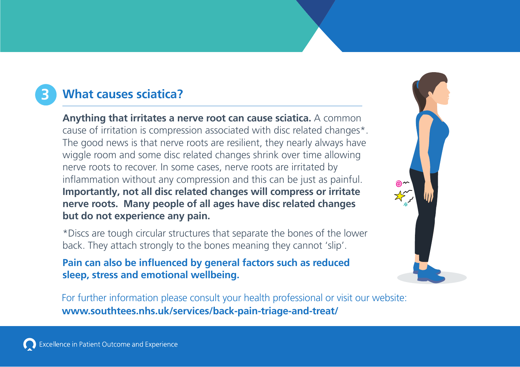# **3 What causes sciatica?**

**Anything that irritates a nerve root can cause sciatica.** A common cause of irritation is compression associated with disc related changes\*. The good news is that nerve roots are resilient, they nearly always have wiggle room and some disc related changes shrink over time allowing nerve roots to recover. In some cases, nerve roots are irritated by inflammation without any compression and this can be just as painful. **Importantly, not all disc related changes will compress or irritate nerve roots. Many people of all ages have disc related changes but do not experience any pain.**

\*Discs are tough circular structures that separate the bones of the lower back. They attach strongly to the bones meaning they cannot 'slip'.

#### **Pain can also be influenced by general factors such as reduced sleep, stress and emotional wellbeing.**

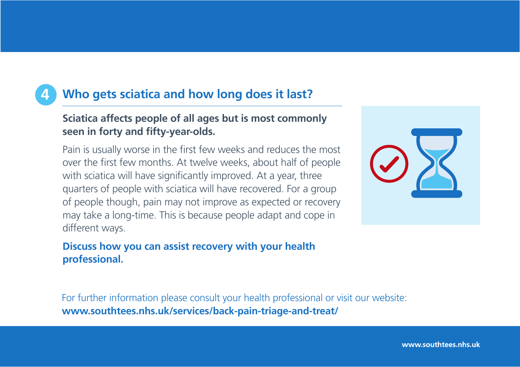# **4 Who gets sciatica and how long does it last?**

### **Sciatica affects people of all ages but is most commonly seen in forty and fifty-year-olds.**

Pain is usually worse in the first few weeks and reduces the most over the first few months. At twelve weeks, about half of people with sciatica will have significantly improved. At a year, three quarters of people with sciatica will have recovered. For a group of people though, pain may not improve as expected or recovery may take a long-time. This is because people adapt and cope in different ways.



## **Discuss how you can assist recovery with your health professional.**

For further information please consult your health professional or visit our website: **www.southtees.nhs.uk/services/back-pain-triage-and-treat/**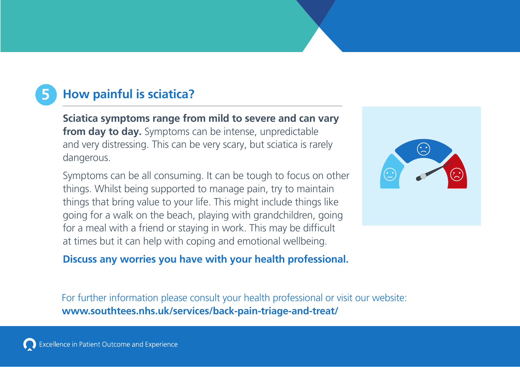# **5 How painful is sciatica?**

**Sciatica symptoms range from mild to severe and can vary from day to day.** Symptoms can be intense, unpredictable and very distressing. This can be very scary, but sciatica is rarely dangerous.

Symptoms can be all consuming. It can be tough to focus on other things. Whilst being supported to manage pain, try to maintain things that bring value to your life. This might include things like going for a walk on the beach, playing with grandchildren, going for a meal with a friend or staying in work. This may be difficult at times but it can help with coping and emotional wellbeing.

### **Discuss any worries you have with your health professional.**

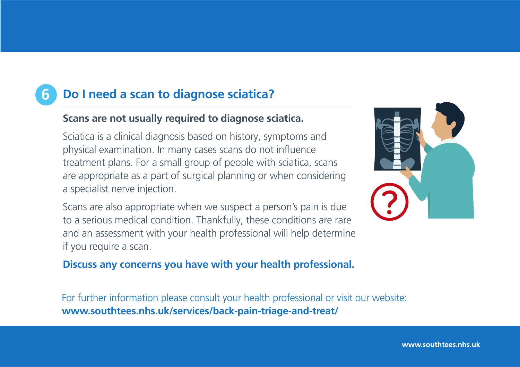# **6 Do I need a scan to diagnose sciatica?**

#### **Scans are not usually required to diagnose sciatica.**

Sciatica is a clinical diagnosis based on history, symptoms and physical examination. In many cases scans do not influence treatment plans. For a small group of people with sciatica, scans are appropriate as a part of surgical planning or when considering a specialist nerve injection.

Scans are also appropriate when we suspect a person's pain is due to a serious medical condition. Thankfully, these conditions are rare and an assessment with your health professional will help determine if you require a scan.

### **Discuss any concerns you have with your health professional.**

For further information please consult your health professional or visit our website: **www.southtees.nhs.uk/services/back-pain-triage-and-treat/**

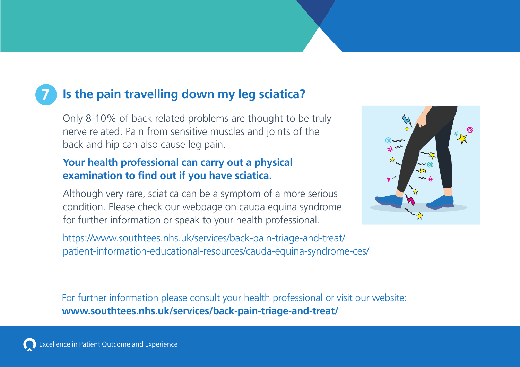# **7 Is the pain travelling down my leg sciatica?**

Only 8-10% of back related problems are thought to be truly nerve related. Pain from sensitive muscles and joints of the back and hip can also cause leg pain.

## **Your health professional can carry out a physical examination to find out if you have sciatica.**

Although very rare, sciatica can be a symptom of a more serious condition. Please check our webpage on cauda equina syndrome for further information or speak to your health professional.

https://www.southtees.nhs.uk/services/back-pain-triage-and-treat/ patient-information-educational-resources/cauda-equina-syndrome-ces/

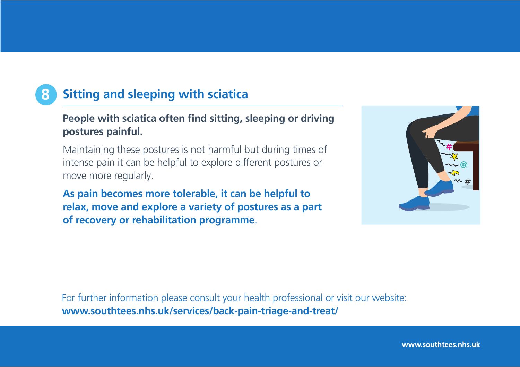# **8 Sitting and sleeping with sciatica**

#### **People with sciatica often find sitting, sleeping or driving postures painful.**

Maintaining these postures is not harmful but during times of intense pain it can be helpful to explore different postures or move more regularly.

**As pain becomes more tolerable, it can be helpful to relax, move and explore a variety of postures as a part of recovery or rehabilitation programme**.



For further information please consult your health professional or visit our website: **www.southtees.nhs.uk/services/back-pain-triage-and-treat/**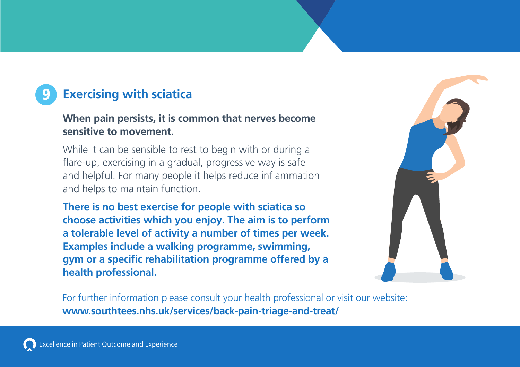# **9 Exercising with sciatica**

#### **When pain persists, it is common that nerves become sensitive to movement.**

While it can be sensible to rest to begin with or during a flare-up, exercising in a gradual, progressive way is safe and helpful. For many people it helps reduce inflammation and helps to maintain function.

**There is no best exercise for people with sciatica so choose activities which you enjoy. The aim is to perform a tolerable level of activity a number of times per week. Examples include a walking programme, swimming, gym or a specific rehabilitation programme offered by a health professional.** 

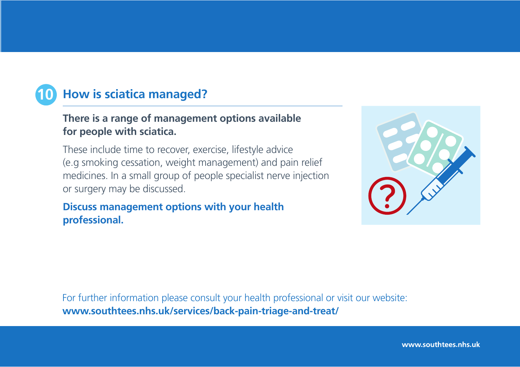

# **10 How is sciatica managed?**

### **There is a range of management options available for people with sciatica.**

These include time to recover, exercise, lifestyle advice (e.g smoking cessation, weight management) and pain relief medicines. In a small group of people specialist nerve injection or surgery may be discussed.

**Discuss management options with your health professional.** 



For further information please consult your health professional or visit our website: **www.southtees.nhs.uk/services/back-pain-triage-and-treat/**